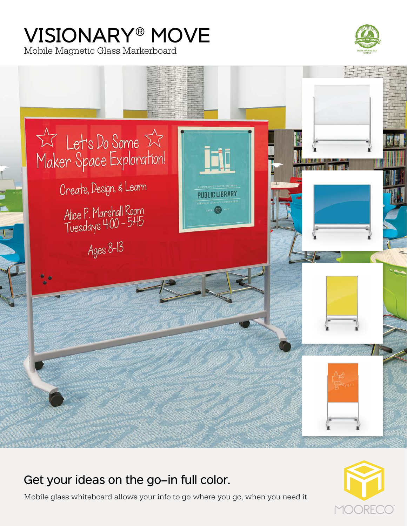# VISIONARY® MOVE

Mobile Magnetic Glass Markerboard





# Get your ideas on the go—in full color.

Mobile glass whiteboard allows your info to go where you go, when you need it.